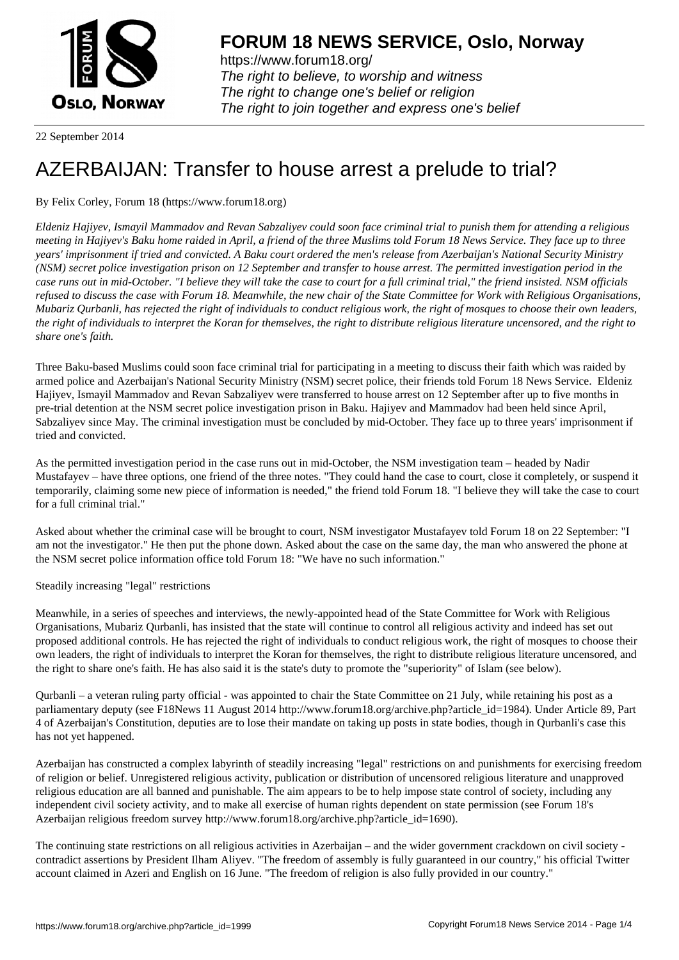

https://www.forum18.org/ The right to believe, to worship and witness The right to change one's belief or religion [The right to join together a](https://www.forum18.org/)nd express one's belief

22 September 2014

## [AZERBAIJAN: T](https://www.forum18.org)ransfer to house arrest a prelude to trial?

By Felix Corley, Forum 18 (https://www.forum18.org)

*Eldeniz Hajiyev, Ismayil Mammadov and Revan Sabzaliyev could soon face criminal trial to punish them for attending a religious meeting in Hajiyev's Baku home raided in April, a friend of the three Muslims told Forum 18 News Service. They face up to three years' imprisonment if tried and convicted. A Baku court ordered the men's release from Azerbaijan's National Security Ministry (NSM) secret police investigation prison on 12 September and transfer to house arrest. The permitted investigation period in the case runs out in mid-October. "I believe they will take the case to court for a full criminal trial," the friend insisted. NSM officials refused to discuss the case with Forum 18. Meanwhile, the new chair of the State Committee for Work with Religious Organisations, Mubariz Qurbanli, has rejected the right of individuals to conduct religious work, the right of mosques to choose their own leaders, the right of individuals to interpret the Koran for themselves, the right to distribute religious literature uncensored, and the right to share one's faith.*

Three Baku-based Muslims could soon face criminal trial for participating in a meeting to discuss their faith which was raided by armed police and Azerbaijan's National Security Ministry (NSM) secret police, their friends told Forum 18 News Service. Eldeniz Hajiyev, Ismayil Mammadov and Revan Sabzaliyev were transferred to house arrest on 12 September after up to five months in pre-trial detention at the NSM secret police investigation prison in Baku. Hajiyev and Mammadov had been held since April, Sabzaliyev since May. The criminal investigation must be concluded by mid-October. They face up to three years' imprisonment if tried and convicted.

As the permitted investigation period in the case runs out in mid-October, the NSM investigation team – headed by Nadir Mustafayev – have three options, one friend of the three notes. "They could hand the case to court, close it completely, or suspend it temporarily, claiming some new piece of information is needed," the friend told Forum 18. "I believe they will take the case to court for a full criminal trial."

Asked about whether the criminal case will be brought to court, NSM investigator Mustafayev told Forum 18 on 22 September: "I am not the investigator." He then put the phone down. Asked about the case on the same day, the man who answered the phone at the NSM secret police information office told Forum 18: "We have no such information."

Steadily increasing "legal" restrictions

Meanwhile, in a series of speeches and interviews, the newly-appointed head of the State Committee for Work with Religious Organisations, Mubariz Qurbanli, has insisted that the state will continue to control all religious activity and indeed has set out proposed additional controls. He has rejected the right of individuals to conduct religious work, the right of mosques to choose their own leaders, the right of individuals to interpret the Koran for themselves, the right to distribute religious literature uncensored, and the right to share one's faith. He has also said it is the state's duty to promote the "superiority" of Islam (see below).

Qurbanli – a veteran ruling party official - was appointed to chair the State Committee on 21 July, while retaining his post as a parliamentary deputy (see F18News 11 August 2014 http://www.forum18.org/archive.php?article\_id=1984). Under Article 89, Part 4 of Azerbaijan's Constitution, deputies are to lose their mandate on taking up posts in state bodies, though in Qurbanli's case this has not yet happened.

Azerbaijan has constructed a complex labyrinth of steadily increasing "legal" restrictions on and punishments for exercising freedom of religion or belief. Unregistered religious activity, publication or distribution of uncensored religious literature and unapproved religious education are all banned and punishable. The aim appears to be to help impose state control of society, including any independent civil society activity, and to make all exercise of human rights dependent on state permission (see Forum 18's Azerbaijan religious freedom survey http://www.forum18.org/archive.php?article\_id=1690).

The continuing state restrictions on all religious activities in Azerbaijan – and the wider government crackdown on civil society contradict assertions by President Ilham Aliyev. "The freedom of assembly is fully guaranteed in our country," his official Twitter account claimed in Azeri and English on 16 June. "The freedom of religion is also fully provided in our country."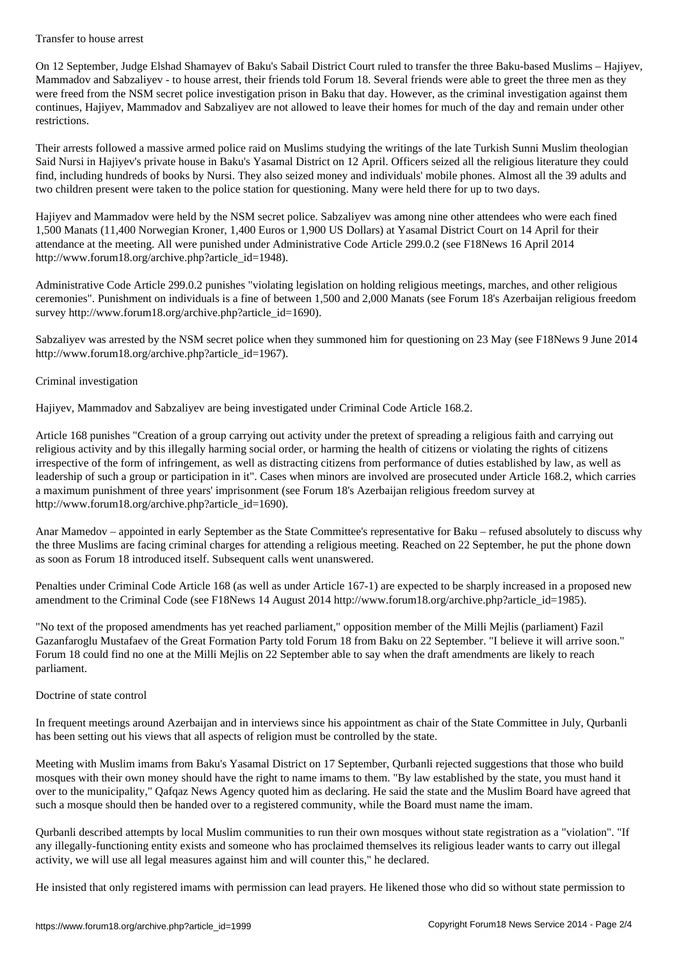On 12 September, Judge Elshad Shamayev of Baku's Sabail District Court ruled to transfer the three Baku-based Muslims – Hajiyev, Mammadov and Sabzaliyev - to house arrest, their friends told Forum 18. Several friends were able to greet the three men as they were freed from the NSM secret police investigation prison in Baku that day. However, as the criminal investigation against them continues, Hajiyev, Mammadov and Sabzaliyev are not allowed to leave their homes for much of the day and remain under other restrictions.

Their arrests followed a massive armed police raid on Muslims studying the writings of the late Turkish Sunni Muslim theologian Said Nursi in Hajiyev's private house in Baku's Yasamal District on 12 April. Officers seized all the religious literature they could find, including hundreds of books by Nursi. They also seized money and individuals' mobile phones. Almost all the 39 adults and two children present were taken to the police station for questioning. Many were held there for up to two days.

Hajiyev and Mammadov were held by the NSM secret police. Sabzaliyev was among nine other attendees who were each fined 1,500 Manats (11,400 Norwegian Kroner, 1,400 Euros or 1,900 US Dollars) at Yasamal District Court on 14 April for their attendance at the meeting. All were punished under Administrative Code Article 299.0.2 (see F18News 16 April 2014 http://www.forum18.org/archive.php?article\_id=1948).

Administrative Code Article 299.0.2 punishes "violating legislation on holding religious meetings, marches, and other religious ceremonies". Punishment on individuals is a fine of between 1,500 and 2,000 Manats (see Forum 18's Azerbaijan religious freedom survey http://www.forum18.org/archive.php?article\_id=1690).

Sabzaliyev was arrested by the NSM secret police when they summoned him for questioning on 23 May (see F18News 9 June 2014 http://www.forum18.org/archive.php?article\_id=1967).

## Criminal investigation

Hajiyev, Mammadov and Sabzaliyev are being investigated under Criminal Code Article 168.2.

Article 168 punishes "Creation of a group carrying out activity under the pretext of spreading a religious faith and carrying out religious activity and by this illegally harming social order, or harming the health of citizens or violating the rights of citizens irrespective of the form of infringement, as well as distracting citizens from performance of duties established by law, as well as leadership of such a group or participation in it". Cases when minors are involved are prosecuted under Article 168.2, which carries a maximum punishment of three years' imprisonment (see Forum 18's Azerbaijan religious freedom survey at http://www.forum18.org/archive.php?article\_id=1690).

Anar Mamedov – appointed in early September as the State Committee's representative for Baku – refused absolutely to discuss why the three Muslims are facing criminal charges for attending a religious meeting. Reached on 22 September, he put the phone down as soon as Forum 18 introduced itself. Subsequent calls went unanswered.

Penalties under Criminal Code Article 168 (as well as under Article 167-1) are expected to be sharply increased in a proposed new amendment to the Criminal Code (see F18News 14 August 2014 http://www.forum18.org/archive.php?article\_id=1985).

"No text of the proposed amendments has yet reached parliament," opposition member of the Milli Mejlis (parliament) Fazil Gazanfaroglu Mustafaev of the Great Formation Party told Forum 18 from Baku on 22 September. "I believe it will arrive soon." Forum 18 could find no one at the Milli Mejlis on 22 September able to say when the draft amendments are likely to reach parliament.

## Doctrine of state control

In frequent meetings around Azerbaijan and in interviews since his appointment as chair of the State Committee in July, Qurbanli has been setting out his views that all aspects of religion must be controlled by the state.

Meeting with Muslim imams from Baku's Yasamal District on 17 September, Qurbanli rejected suggestions that those who build mosques with their own money should have the right to name imams to them. "By law established by the state, you must hand it over to the municipality," Qafqaz News Agency quoted him as declaring. He said the state and the Muslim Board have agreed that such a mosque should then be handed over to a registered community, while the Board must name the imam.

Qurbanli described attempts by local Muslim communities to run their own mosques without state registration as a "violation". "If any illegally-functioning entity exists and someone who has proclaimed themselves its religious leader wants to carry out illegal activity, we will use all legal measures against him and will counter this," he declared.

He insisted that only registered imams with permission can lead prayers. He likened those who did so without state permission to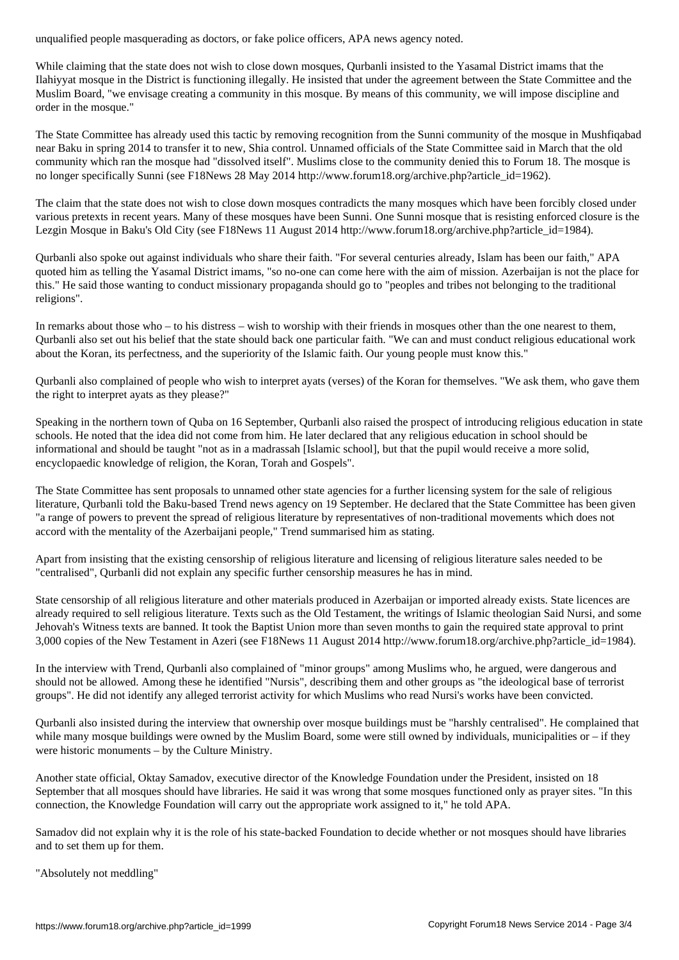While claiming that the state does not wish to close down mosques, Ourbanli insisted to the Yasamal District imams that the Ilahiyyat mosque in the District is functioning illegally. He insisted that under the agreement between the State Committee and the Muslim Board, "we envisage creating a community in this mosque. By means of this community, we will impose discipline and order in the mosque."

The State Committee has already used this tactic by removing recognition from the Sunni community of the mosque in Mushfiqabad near Baku in spring 2014 to transfer it to new, Shia control. Unnamed officials of the State Committee said in March that the old community which ran the mosque had "dissolved itself". Muslims close to the community denied this to Forum 18. The mosque is no longer specifically Sunni (see F18News 28 May 2014 http://www.forum18.org/archive.php?article\_id=1962).

The claim that the state does not wish to close down mosques contradicts the many mosques which have been forcibly closed under various pretexts in recent years. Many of these mosques have been Sunni. One Sunni mosque that is resisting enforced closure is the Lezgin Mosque in Baku's Old City (see F18News 11 August 2014 http://www.forum18.org/archive.php?article\_id=1984).

Qurbanli also spoke out against individuals who share their faith. "For several centuries already, Islam has been our faith," APA quoted him as telling the Yasamal District imams, "so no-one can come here with the aim of mission. Azerbaijan is not the place for this." He said those wanting to conduct missionary propaganda should go to "peoples and tribes not belonging to the traditional religions".

In remarks about those who – to his distress – wish to worship with their friends in mosques other than the one nearest to them, Qurbanli also set out his belief that the state should back one particular faith. "We can and must conduct religious educational work about the Koran, its perfectness, and the superiority of the Islamic faith. Our young people must know this."

Qurbanli also complained of people who wish to interpret ayats (verses) of the Koran for themselves. "We ask them, who gave them the right to interpret ayats as they please?"

Speaking in the northern town of Quba on 16 September, Qurbanli also raised the prospect of introducing religious education in state schools. He noted that the idea did not come from him. He later declared that any religious education in school should be informational and should be taught "not as in a madrassah [Islamic school], but that the pupil would receive a more solid, encyclopaedic knowledge of religion, the Koran, Torah and Gospels".

The State Committee has sent proposals to unnamed other state agencies for a further licensing system for the sale of religious literature, Qurbanli told the Baku-based Trend news agency on 19 September. He declared that the State Committee has been given "a range of powers to prevent the spread of religious literature by representatives of non-traditional movements which does not accord with the mentality of the Azerbaijani people," Trend summarised him as stating.

Apart from insisting that the existing censorship of religious literature and licensing of religious literature sales needed to be "centralised", Qurbanli did not explain any specific further censorship measures he has in mind.

State censorship of all religious literature and other materials produced in Azerbaijan or imported already exists. State licences are already required to sell religious literature. Texts such as the Old Testament, the writings of Islamic theologian Said Nursi, and some Jehovah's Witness texts are banned. It took the Baptist Union more than seven months to gain the required state approval to print 3,000 copies of the New Testament in Azeri (see F18News 11 August 2014 http://www.forum18.org/archive.php?article\_id=1984).

In the interview with Trend, Qurbanli also complained of "minor groups" among Muslims who, he argued, were dangerous and should not be allowed. Among these he identified "Nursis", describing them and other groups as "the ideological base of terrorist groups". He did not identify any alleged terrorist activity for which Muslims who read Nursi's works have been convicted.

Qurbanli also insisted during the interview that ownership over mosque buildings must be "harshly centralised". He complained that while many mosque buildings were owned by the Muslim Board, some were still owned by individuals, municipalities or – if they were historic monuments – by the Culture Ministry.

Another state official, Oktay Samadov, executive director of the Knowledge Foundation under the President, insisted on 18 September that all mosques should have libraries. He said it was wrong that some mosques functioned only as prayer sites. "In this connection, the Knowledge Foundation will carry out the appropriate work assigned to it," he told APA.

Samadov did not explain why it is the role of his state-backed Foundation to decide whether or not mosques should have libraries and to set them up for them.

"Absolutely not meddling"